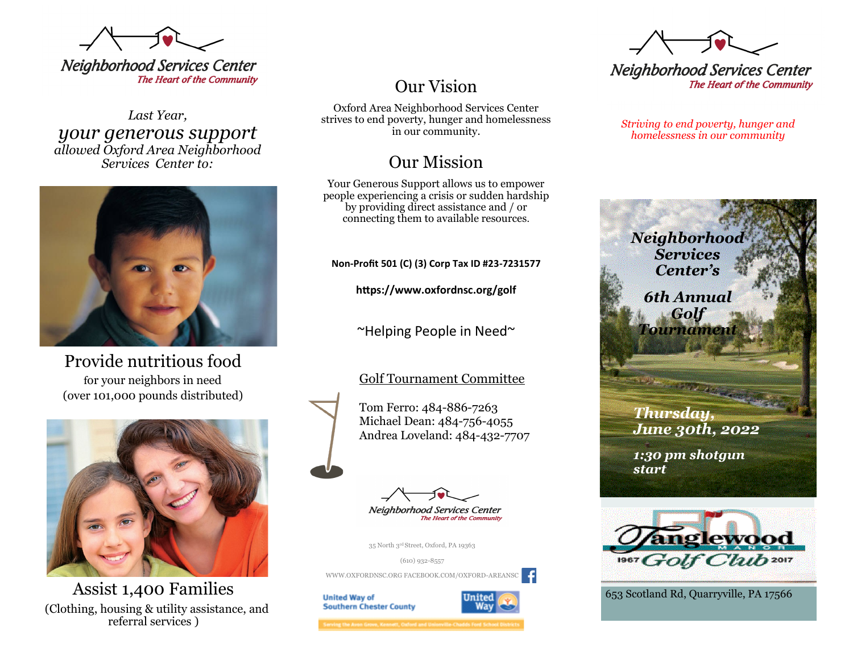

*Last Year, your generous support allowed Oxford Area Neighborhood Services Center to:*



Provide nutritious food for your neighbors in need (over 101,000 pounds distributed)



Assist 1,400 Families (Clothing, housing & utility assistance, and referral services )

# Our Vision

Oxford Area Neighborhood Services Center strives to end poverty, hunger and homelessness in our community.

# Our Mission

Your Generous Support allows us to empower people experiencing a crisis or sudden hardship by providing direct assistance and / or connecting them to available resources.

**Non-Profit 501 (C) (3) Corp Tax ID #23-7231577**

**https://www.oxfordnsc.org/golf**

~Helping People in Need~

# Golf Tournament Committee

Tom Ferro: 484-886-7263 Michael Dean: 484-756-4055 Andrea Loveland: 484-432-7707



The Heart of the Com

35 North 3rd Street, Oxford, PA 19363

(610) 932-8557 WWW.OXFORDNSC.ORG FACEBOOK.COM/OXFORD-AREANSC

**United Way of Southern Chester County** 



g the Avon Grove, Kennett, Oxford and Unionville-Chadds Ford School I

**Neighborhood Services Center** The Heart of the Community

*Striving to end poverty, hunger and homelessness in our community* 





653 Scotland Rd, Quarryville, PA 17566